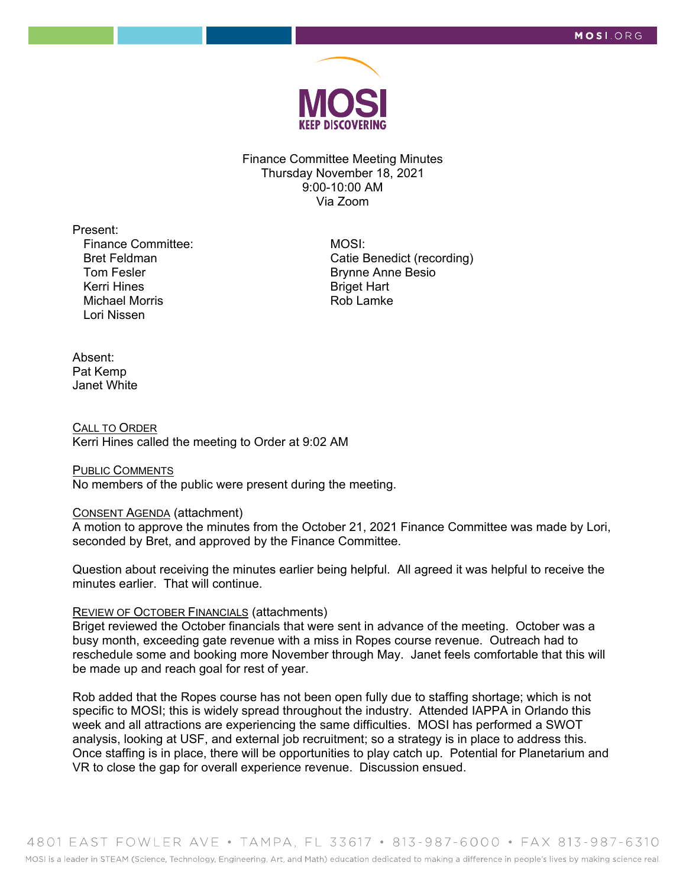

Finance Committee Meeting Minutes Thursday November 18, 2021 9:00-10:00 AM Via Zoom

Present: Finance Committee:

Bret Feldman Tom Fesler Kerri Hines Michael Morris Lori Nissen

 MOSI: Catie Benedict (recording) Brynne Anne Besio Briget Hart Rob Lamke

## Absent: Pat Kemp Janet White

CALL TO ORDER Kerri Hines called the meeting to Order at 9:02 AM

# PUBLIC COMMENTS

No members of the public were present during the meeting.

#### CONSENT AGENDA (attachment)

A motion to approve the minutes from the October 21, 2021 Finance Committee was made by Lori, seconded by Bret, and approved by the Finance Committee.

Question about receiving the minutes earlier being helpful. All agreed it was helpful to receive the minutes earlier. That will continue.

### REVIEW OF OCTOBER FINANCIALS (attachments)

Briget reviewed the October financials that were sent in advance of the meeting. October was a busy month, exceeding gate revenue with a miss in Ropes course revenue. Outreach had to reschedule some and booking more November through May. Janet feels comfortable that this will be made up and reach goal for rest of year.

Rob added that the Ropes course has not been open fully due to staffing shortage; which is not specific to MOSI; this is widely spread throughout the industry. Attended IAPPA in Orlando this week and all attractions are experiencing the same difficulties. MOSI has performed a SWOT analysis, looking at USF, and external job recruitment; so a strategy is in place to address this. Once staffing is in place, there will be opportunities to play catch up. Potential for Planetarium and VR to close the gap for overall experience revenue. Discussion ensued.